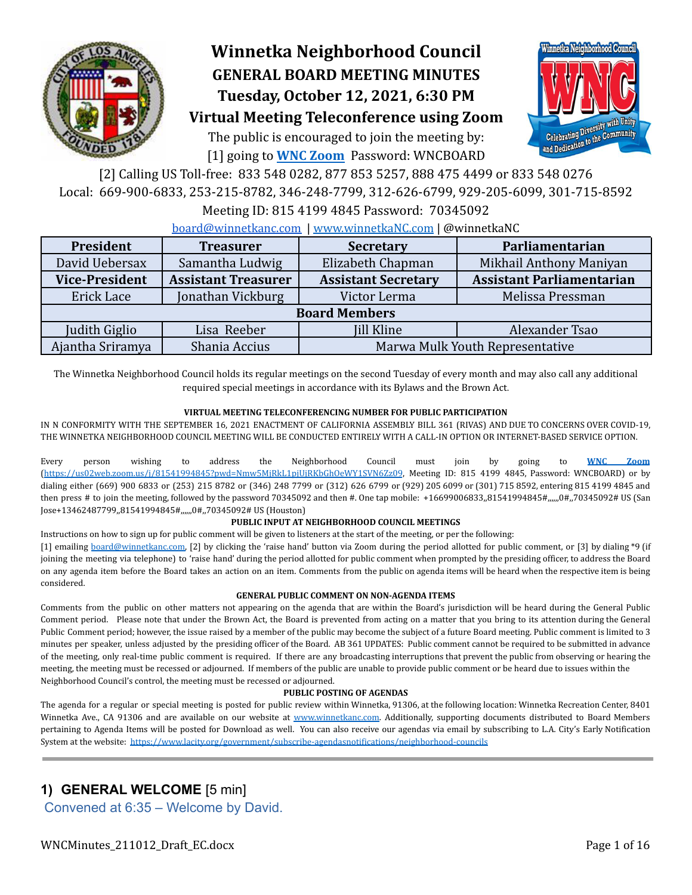

# **Winnetka Neighborhood Council GENERAL BOARD MEETING MINUTES Tuesday, October 12, 2021, 6:30 PM Virtual Meeting Teleconference using Zoom**

The public is encouraged to join the meeting by: [1] going to **[WNC Zoom](https://us02web.zoom.us/j/81541994845?pwd=Nmw5MjRkL1pjUjRKbGhOeWY1SVN6Zz09)** Password: WNCBOARD



[2] Calling US Toll-free: 833 548 0282, 877 853 5257, 888 475 4499 or 833 548 0276 Local: 669-900-6833, 253-215-8782, 346-248-7799, 312-626-6799, 929-205-6099, 301-715-8592

### Meeting ID: 815 4199 4845 Password: 70345092

[board@winnetkanc.com](mailto:board@winnetkanc.com) | [www.winnetkaNC.com](http://../../../../../..//UUEBERBASE/Users/uuebmeister/Documents/Community/Winnetka%20Neighborhood%20Council/WNC%20Board%20Agendas%20and%20Minutes/www.winnetkaNC.com) | @winnetkaNC

| President             | <b>Treasurer</b>           | <b>Secretary</b>                | Parliamentarian                  |  |  |  |  |
|-----------------------|----------------------------|---------------------------------|----------------------------------|--|--|--|--|
| David Uebersax        | Samantha Ludwig            | Elizabeth Chapman               | Mikhail Anthony Maniyan          |  |  |  |  |
| <b>Vice-President</b> | <b>Assistant Treasurer</b> | <b>Assistant Secretary</b>      | <b>Assistant Parliamentarian</b> |  |  |  |  |
| Erick Lace            | Jonathan Vickburg          | Victor Lerma                    | Melissa Pressman                 |  |  |  |  |
|                       | <b>Board Members</b>       |                                 |                                  |  |  |  |  |
| Judith Giglio         | Lisa Reeber                | <b>Jill Kline</b>               | Alexander Tsao                   |  |  |  |  |
| Ajantha Sriramya      | Shania Accius              | Marwa Mulk Youth Representative |                                  |  |  |  |  |

The Winnetka Neighborhood Council holds its regular meetings on the second Tuesday of every month and may also call any additional required special meetings in accordance with its Bylaws and the Brown Act.

### **VIRTUAL MEETING TELECONFERENCING NUMBER FOR PUBLIC PARTICIPATION**

IN N CONFORMITY WITH THE SEPTEMBER 16, 2021 ENACTMENT OF CALIFORNIA ASSEMBLY BILL 361 (RIVAS) AND DUE TO CONCERNS OVER COVID-19, THE WINNETKA NEIGHBORHOOD COUNCIL MEETING WILL BE CONDUCTED ENTIRELY WITH A CALL-IN OPTION OR INTERNET-BASED SERVICE OPTION.

Every person wishing to address the Neighborhood Council must join by going to **WNC [Zoom](https://us02web.zoom.us/j/81541994845?pwd=Nmw5MjRkL1pjUjRKbGhOeWY1SVN6Zz09)** [\(https://us02web.zoom.us/j/81541994845?pwd=Nmw5MjRkL1pjUjRKbGhOeWY1SVN6Zz09](https://us02web.zoom.us/j/81541994845?pwd=Nmw5MjRkL1pjUjRKbGhOeWY1SVN6Zz09), Meeting ID: 815 4199 4845, Password: WNCBOARD) or by dialing either (669) 900 6833 or (253) 215 8782 or (346) 248 7799 or (312) 626 6799 or (929) 205 6099 or (301) 715 8592, entering 815 4199 4845 and then press # to join the meeting, followed by the password 70345092 and then #. One tap mobile: +16699006833,,81541994845#,,,,,,0#,,70345092# US (San Jose+13462487799,,81541994845#,,,,,,0#,,70345092# US (Houston)

### **PUBLIC INPUT AT NEIGHBORHOOD COUNCIL MEETINGS**

Instructions on how to sign up for public comment will be given to listeners at the start of the meeting, or per the following:

[1] emailing [board@winnetkanc.com,](mailto:board@winnetkanc.com) [2] by clicking the 'raise hand' button via Zoom during the period allotted for public comment, or [3] by dialing \*9 (if joining the meeting via telephone) to 'raise hand' during the period allotted for public comment when prompted by the presiding officer, to address the Board on any agenda item before the Board takes an action on an item. Comments from the public on agenda items will be heard when the respective item is being considered.

### **GENERAL PUBLIC COMMENT ON NON-AGENDA ITEMS**

Comments from the public on other matters not appearing on the agenda that are within the Board's jurisdiction will be heard during the General Public Comment period. Please note that under the Brown Act, the Board is prevented from acting on a matter that you bring to its attention during the General Public Comment period; however, the issue raised by a member of the public may become the subject of a future Board meeting. Public comment is limited to 3 minutes per speaker, unless adjusted by the presiding officer of the Board. AB 361 UPDATES: Public comment cannot be required to be submitted in advance of the meeting, only real-time public comment is required. If there are any broadcasting interruptions that prevent the public from observing or hearing the meeting, the meeting must be recessed or adjourned. If members of the public are unable to provide public comment or be heard due to issues within the Neighborhood Council's control, the meeting must be recessed or adjourned.

### **PUBLIC POSTING OF AGENDAS**

The agenda for a regular or special meeting is posted for public review within Winnetka, 91306, at the following location: Winnetka Recreation Center, 8401 Winnetka Ave., CA 91306 and are available on our website at [www.winnetkanc.com.](http://../../../../../..//UUEBERBASE/Users/uuebmeister/Documents/Community/Winnetka%20Neighborhood%20Council/WNC%20Board%20Agendas%20and%20Minutes/www.winnetkanc.com) Additionally, supporting documents distributed to Board Members pertaining to Agenda Items will be posted for Download as well. You can also receive our agendas via email by subscribing to L.A. City's Early Notification System at the website: <https://www.lacity.org/government/subscribe-agendasnotifications/neighborhood-councils>

# **1) GENERAL WELCOME** [5 min]

Convened at 6:35 – Welcome by David.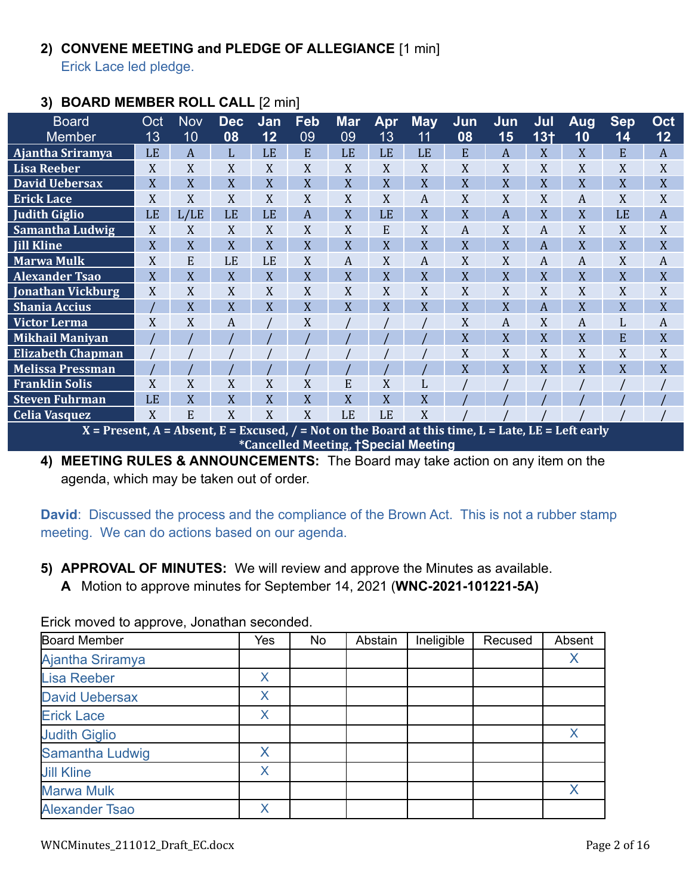# **2) CONVENE MEETING and PLEDGE OF ALLEGIANCE** [1 min]

Erick Lace led pledge.

# **3) BOARD MEMBER ROLL CALL** [2 min]

| <b>Board</b>                                                                                         | Oct       | <b>Nov</b>     | <b>Dec</b> | Jan | Feb | <b>Mar</b> | Apr | <b>May</b> | Jun | Jun            | Jul             | <b>Aug</b> | <b>Sep</b> | Oct              |
|------------------------------------------------------------------------------------------------------|-----------|----------------|------------|-----|-----|------------|-----|------------|-----|----------------|-----------------|------------|------------|------------------|
| <b>Member</b>                                                                                        | 13        | 10             | 08         | 12  | 09  | 09         | 13  | 11         | 08  | 15             | 13 <sub>†</sub> | 10         | 14         | 12               |
| Ajantha Sriramya                                                                                     | <b>LE</b> | A              | L          | LE  | E   | LE         | LE  | LE         | E   | $\overline{A}$ | X               | X          | E          | $\boldsymbol{A}$ |
| <b>Lisa Reeber</b>                                                                                   | X         | X              | X          | X   | X   | X          | X   | X          | X   | X              | X               | X          | X          | X                |
| <b>David Uebersax</b>                                                                                | X         | X              | X          | X   | X   | X          | X   | X          | X   | $\overline{X}$ | X               | X          | X          | X                |
| <b>Erick Lace</b>                                                                                    | X         | X              | X          | X   | X   | X          | X   | A          | X   | X              | X               | A          | X          | X                |
| <b>Judith Giglio</b>                                                                                 | LE        | L/LE           | LE         | LE  | A   | X          | LE  | X          | X   | $\overline{A}$ | X               | X          | LE         | A                |
| <b>Samantha Ludwig</b>                                                                               | X         | X              | X          | X   | X   | X          | E   | X          | A   | X              | A               | X          | X          | X                |
| <b>Jill Kline</b>                                                                                    | X         | X              | X          | X   | X   | X          | X   | X          | X   | X              | A               | X          | X          | X                |
| <b>Marwa Mulk</b>                                                                                    | X         | E              | LE         | LE  | X   | A          | X   | A          | X   | X              | A               | A          | X          | A                |
| <b>Alexander Tsao</b>                                                                                | X         | X              | X          | X   | X   | X          | X   | X          | X   | X              | X               | X          | X          | X                |
| <b>Jonathan Vickburg</b>                                                                             | X         | X              | X          | X   | X   | X          | X   | X          | X   | X              | X               | X          | X          | X                |
| <b>Shania Accius</b>                                                                                 |           | $\overline{X}$ | X          | X   | X   | X          | X   | X          | X   | X              | $\overline{A}$  | X          | X          | X                |
| <b>Victor Lerma</b>                                                                                  | X         | X              | A          |     | X   |            |     |            | X   | A              | X               | A          | L          | A                |
| <b>Mikhail Maniyan</b>                                                                               |           |                |            |     |     |            |     |            | X   | X              | X               | X          | E          | X                |
| <b>Elizabeth Chapman</b>                                                                             |           |                |            |     |     |            |     |            | X   | X              | X               | X          | X          | X                |
| <b>Melissa Pressman</b>                                                                              |           |                |            |     |     |            |     |            | X   | X              | X               | X          | X          | X                |
| <b>Franklin Solis</b>                                                                                | X         | X              | X          | X   | X   | E          | X   | L          |     |                |                 |            |            |                  |
| <b>Steven Fuhrman</b>                                                                                | LE        | X              | X          | X   | X   | X          | X   | X          |     |                |                 |            |            |                  |
| <b>Celia Vasquez</b>                                                                                 | X         | E              | X          | X   | X   | LE         | LE  | X          |     |                |                 |            |            |                  |
| $X =$ Present, A = Absent, E = Excused, / = Not on the Board at this time, L = Late, LE = Left early |           |                |            |     |     |            |     |            |     |                |                 |            |            |                  |
| *Cancelled Meeting, †Special Meeting                                                                 |           |                |            |     |     |            |     |            |     |                |                 |            |            |                  |

**4) MEETING RULES & ANNOUNCEMENTS:** The Board may take action on any item on the agenda, which may be taken out of order.

**David**: Discussed the process and the compliance of the Brown Act. This is not a rubber stamp meeting. We can do actions based on our agenda.

- **5) APPROVAL OF MINUTES:** We will review and approve the Minutes as available.
	- **A** Motion to approve minutes for September 14, 2021 (**WNC-2021-101221-5A)**

Erick moved to approve, Jonathan seconded.

| <b>Board Member</b>   | Yes | No | Abstain | Ineligible | Recused | Absent |
|-----------------------|-----|----|---------|------------|---------|--------|
| Ajantha Sriramya      |     |    |         |            |         |        |
| <b>Lisa Reeber</b>    | X   |    |         |            |         |        |
| <b>David Uebersax</b> | X   |    |         |            |         |        |
| <b>Erick Lace</b>     | X   |    |         |            |         |        |
| <b>Judith Giglio</b>  |     |    |         |            |         |        |
| Samantha Ludwig       | Χ   |    |         |            |         |        |
| <b>Jill Kline</b>     | X   |    |         |            |         |        |
| <b>Marwa Mulk</b>     |     |    |         |            |         | X      |
| <b>Alexander Tsao</b> | X   |    |         |            |         |        |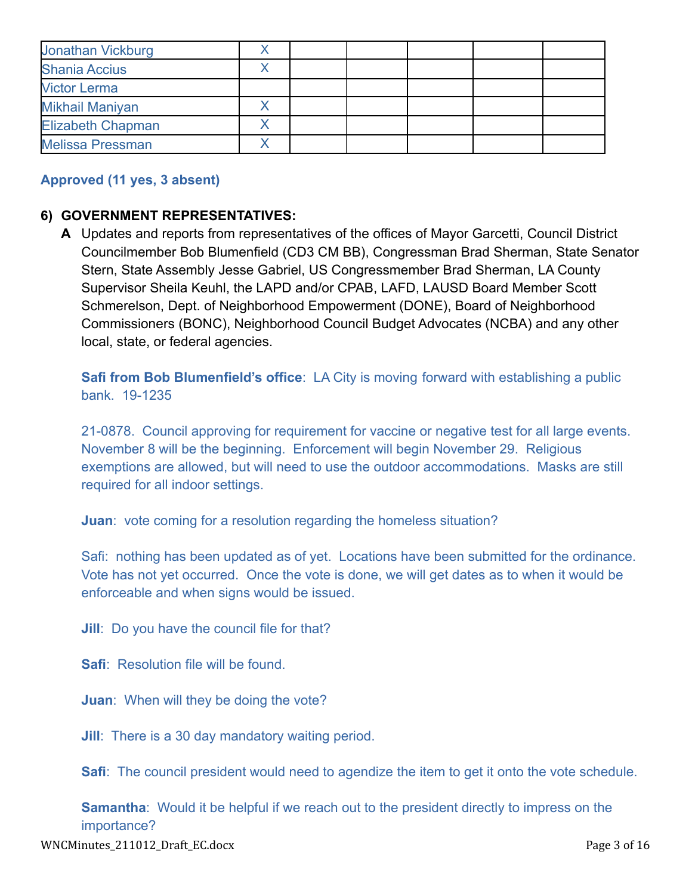| Jonathan Vickburg        |  |  |  |
|--------------------------|--|--|--|
| <b>Shania Accius</b>     |  |  |  |
| <b>Victor Lerma</b>      |  |  |  |
| Mikhail Maniyan          |  |  |  |
| <b>Elizabeth Chapman</b> |  |  |  |
| <b>Melissa Pressman</b>  |  |  |  |

## **Approved (11 yes, 3 absent)**

### **6) GOVERNMENT REPRESENTATIVES:**

**A** Updates and reports from representatives of the offices of Mayor Garcetti, Council District Councilmember Bob Blumenfield (CD3 CM BB), Congressman Brad Sherman, State Senator Stern, State Assembly Jesse Gabriel, US Congressmember Brad Sherman, LA County Supervisor Sheila Keuhl, the LAPD and/or CPAB, LAFD, LAUSD Board Member Scott Schmerelson, Dept. of Neighborhood Empowerment (DONE), Board of Neighborhood Commissioners (BONC), Neighborhood Council Budget Advocates (NCBA) and any other local, state, or federal agencies.

**Safi from Bob Blumenfield's office**: LA City is moving forward with establishing a public bank. 19-1235

21-0878. Council approving for requirement for vaccine or negative test for all large events. November 8 will be the beginning. Enforcement will begin November 29. Religious exemptions are allowed, but will need to use the outdoor accommodations. Masks are still required for all indoor settings.

**Juan:** vote coming for a resolution regarding the homeless situation?

Safi: nothing has been updated as of yet. Locations have been submitted for the ordinance. Vote has not yet occurred. Once the vote is done, we will get dates as to when it would be enforceable and when signs would be issued.

**Jill**: Do you have the council file for that?

**Safi: Resolution file will be found.** 

**Juan**: When will they be doing the vote?

**Jill**: There is a 30 day mandatory waiting period.

**Safi**: The council president would need to agendize the item to get it onto the vote schedule.

**Samantha:** Would it be helpful if we reach out to the president directly to impress on the importance?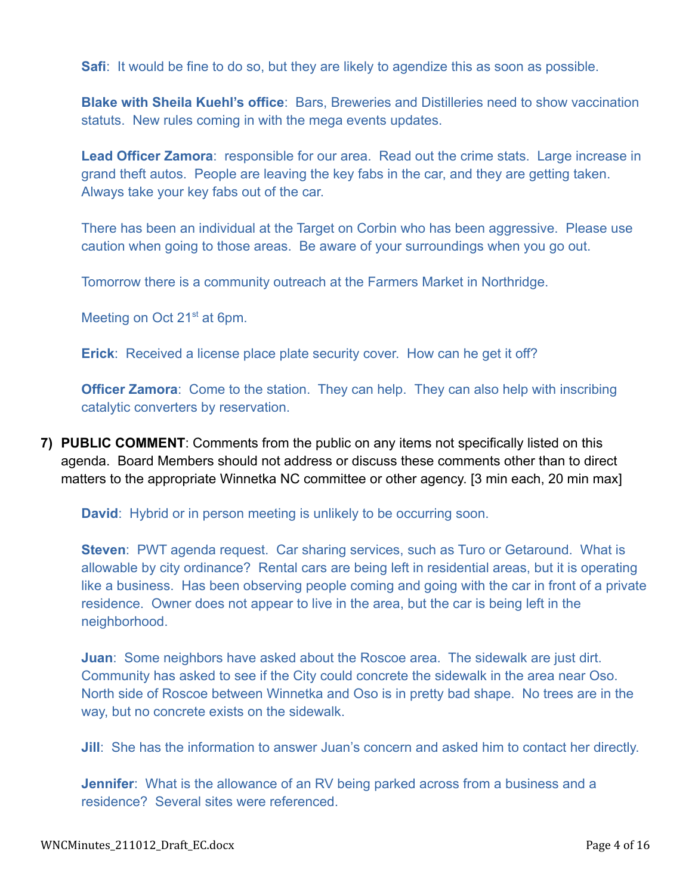**Safi**: It would be fine to do so, but they are likely to agendize this as soon as possible.

**Blake with Sheila Kuehl's office**: Bars, Breweries and Distilleries need to show vaccination statuts. New rules coming in with the mega events updates.

**Lead Officer Zamora**: responsible for our area. Read out the crime stats. Large increase in grand theft autos. People are leaving the key fabs in the car, and they are getting taken. Always take your key fabs out of the car.

There has been an individual at the Target on Corbin who has been aggressive. Please use caution when going to those areas. Be aware of your surroundings when you go out.

Tomorrow there is a community outreach at the Farmers Market in Northridge.

Meeting on Oct 21<sup>st</sup> at 6pm.

**Erick**: Received a license place plate security cover. How can he get it off?

**Officer Zamora:** Come to the station. They can help. They can also help with inscribing catalytic converters by reservation.

**7) PUBLIC COMMENT**: Comments from the public on any items not specifically listed on this agenda. Board Members should not address or discuss these comments other than to direct matters to the appropriate Winnetka NC committee or other agency. [3 min each, 20 min max]

**David**: Hybrid or in person meeting is unlikely to be occurring soon.

**Steven**: PWT agenda request. Car sharing services, such as Turo or Getaround. What is allowable by city ordinance? Rental cars are being left in residential areas, but it is operating like a business. Has been observing people coming and going with the car in front of a private residence. Owner does not appear to live in the area, but the car is being left in the neighborhood.

**Juan**: Some neighbors have asked about the Roscoe area. The sidewalk are just dirt. Community has asked to see if the City could concrete the sidewalk in the area near Oso. North side of Roscoe between Winnetka and Oso is in pretty bad shape. No trees are in the way, but no concrete exists on the sidewalk.

**Jill**: She has the information to answer Juan's concern and asked him to contact her directly.

**Jennifer**: What is the allowance of an RV being parked across from a business and a residence? Several sites were referenced.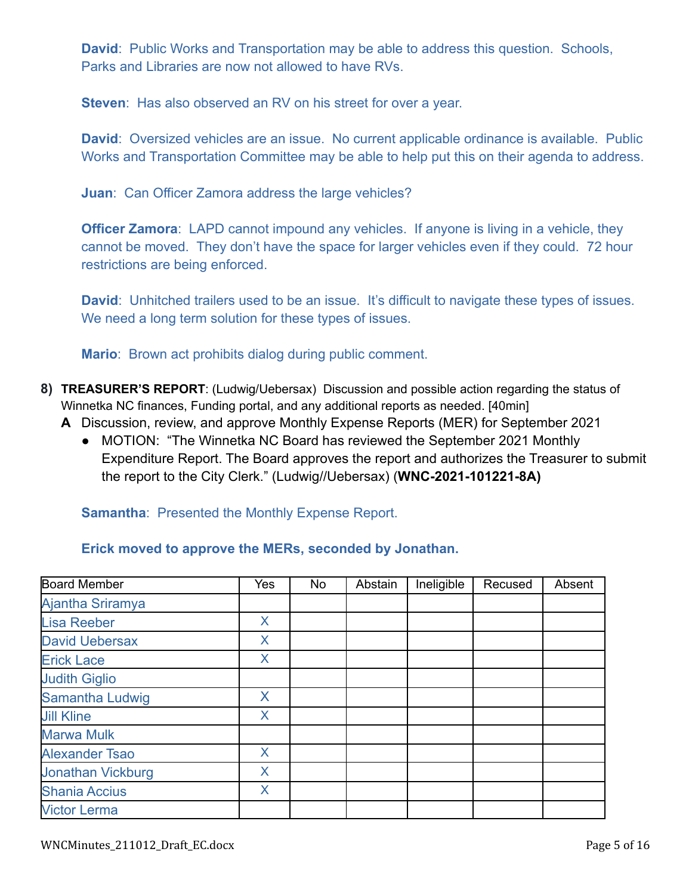**David**: Public Works and Transportation may be able to address this question. Schools, Parks and Libraries are now not allowed to have RVs.

**Steven**: Has also observed an RV on his street for over a year.

**David:** Oversized vehicles are an issue. No current applicable ordinance is available. Public Works and Transportation Committee may be able to help put this on their agenda to address.

**Juan**: Can Officer Zamora address the large vehicles?

**Officer Zamora:** LAPD cannot impound any vehicles. If anyone is living in a vehicle, they cannot be moved. They don't have the space for larger vehicles even if they could. 72 hour restrictions are being enforced.

**David:** Unhitched trailers used to be an issue. It's difficult to navigate these types of issues. We need a long term solution for these types of issues.

**Mario**: Brown act prohibits dialog during public comment.

- **8) TREASURER'S REPORT**: (Ludwig/Uebersax) Discussion and possible action regarding the status of Winnetka NC finances, Funding portal, and any additional reports as needed. [40min]
	- **A** Discussion, review, and approve Monthly Expense Reports (MER) for September 2021
		- MOTION: "The Winnetka NC Board has reviewed the September 2021 Monthly Expenditure Report. The Board approves the report and authorizes the Treasurer to submit the report to the City Clerk." (Ludwig//Uebersax) (**WNC-2021-101221-8A)**

### **Samantha: Presented the Monthly Expense Report.**

| <b>Board Member</b>      | Yes | No | Abstain | Ineligible | Recused | Absent |
|--------------------------|-----|----|---------|------------|---------|--------|
| Ajantha Sriramya         |     |    |         |            |         |        |
| <b>Lisa Reeber</b>       | X   |    |         |            |         |        |
| <b>David Uebersax</b>    | X   |    |         |            |         |        |
| <b>Erick Lace</b>        | X   |    |         |            |         |        |
| <b>Judith Giglio</b>     |     |    |         |            |         |        |
| <b>Samantha Ludwig</b>   | X   |    |         |            |         |        |
| <b>Jill Kline</b>        | X   |    |         |            |         |        |
| <b>Marwa Mulk</b>        |     |    |         |            |         |        |
| <b>Alexander Tsao</b>    | X   |    |         |            |         |        |
| <b>Jonathan Vickburg</b> | X   |    |         |            |         |        |
| <b>Shania Accius</b>     | X   |    |         |            |         |        |
| <b>Victor Lerma</b>      |     |    |         |            |         |        |

# **Erick moved to approve the MERs, seconded by Jonathan.**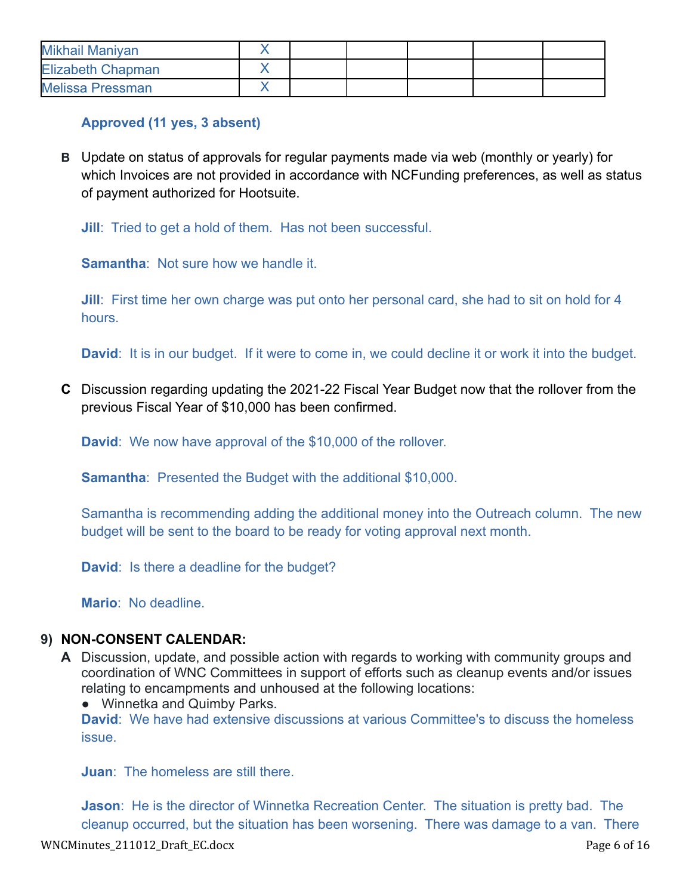| Mikhail Maniyan          |  |  |  |
|--------------------------|--|--|--|
| <b>Elizabeth Chapman</b> |  |  |  |
| <b>Melissa Pressman</b>  |  |  |  |

# **Approved (11 yes, 3 absent)**

**B** Update on status of approvals for regular payments made via web (monthly or yearly) for which Invoices are not provided in accordance with NCFunding preferences, as well as status of payment authorized for Hootsuite.

**Jill:** Tried to get a hold of them. Has not been successful.

**Samantha**: Not sure how we handle it.

**Jill**: First time her own charge was put onto her personal card, she had to sit on hold for 4 hours.

**David**: It is in our budget. If it were to come in, we could decline it or work it into the budget.

**C** Discussion regarding updating the 2021-22 Fiscal Year Budget now that the rollover from the previous Fiscal Year of \$10,000 has been confirmed.

**David**: We now have approval of the \$10,000 of the rollover.

**Samantha:** Presented the Budget with the additional \$10,000.

Samantha is recommending adding the additional money into the Outreach column. The new budget will be sent to the board to be ready for voting approval next month.

**David**: Is there a deadline for the budget?

**Mario**: No deadline.

# **9) NON-CONSENT CALENDAR:**

- **A** Discussion, update, and possible action with regards to working with community groups and coordination of WNC Committees in support of efforts such as cleanup events and/or issues relating to encampments and unhoused at the following locations:
	- Winnetka and Quimby Parks.

**David**: We have had extensive discussions at various Committee's to discuss the homeless issue.

**Juan**: The homeless are still there.

**Jason**: He is the director of Winnetka Recreation Center. The situation is pretty bad. The cleanup occurred, but the situation has been worsening. There was damage to a van. There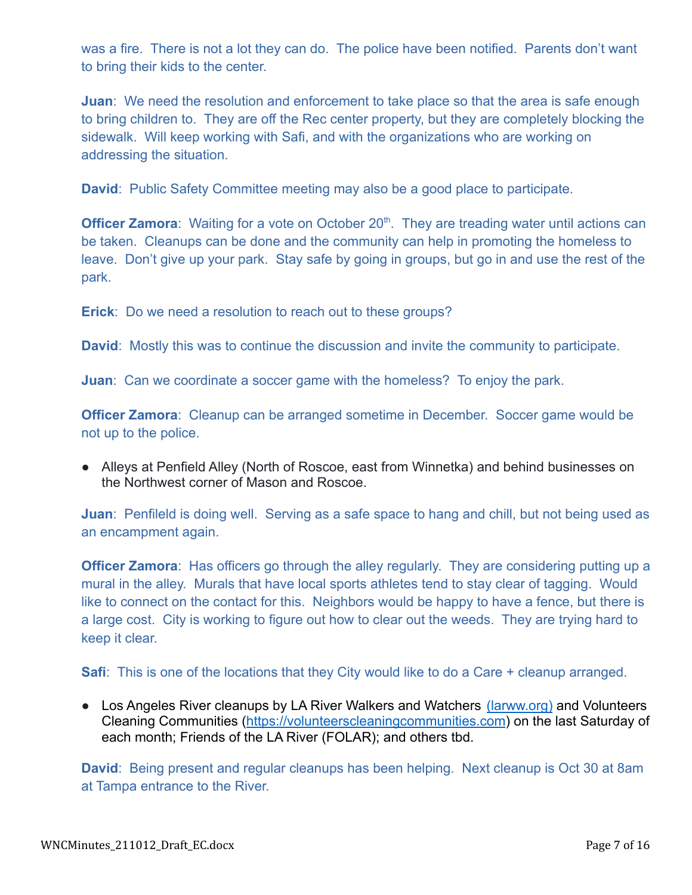was a fire. There is not a lot they can do. The police have been notified. Parents don't want to bring their kids to the center.

**Juan:** We need the resolution and enforcement to take place so that the area is safe enough to bring children to. They are off the Rec center property, but they are completely blocking the sidewalk. Will keep working with Safi, and with the organizations who are working on addressing the situation.

**David:** Public Safety Committee meeting may also be a good place to participate.

**Officer Zamora**: Waiting for a vote on October 20<sup>th</sup>. They are treading water until actions can be taken. Cleanups can be done and the community can help in promoting the homeless to leave. Don't give up your park. Stay safe by going in groups, but go in and use the rest of the park.

**Erick**: Do we need a resolution to reach out to these groups?

**David**: Mostly this was to continue the discussion and invite the community to participate.

**Juan**: Can we coordinate a soccer game with the homeless? To enjoy the park.

**Officer Zamora**: Cleanup can be arranged sometime in December. Soccer game would be not up to the police.

● Alleys at Penfield Alley (North of Roscoe, east from Winnetka) and behind businesses on the Northwest corner of Mason and Roscoe.

**Juan**: Penfileld is doing well. Serving as a safe space to hang and chill, but not being used as an encampment again.

**Officer Zamora:** Has officers go through the alley regularly. They are considering putting up a mural in the alley. Murals that have local sports athletes tend to stay clear of tagging. Would like to connect on the contact for this. Neighbors would be happy to have a fence, but there is a large cost. City is working to figure out how to clear out the weeds. They are trying hard to keep it clear.

**Safi**: This is one of the locations that they City would like to do a Care + cleanup arranged.

● Los Angeles River cleanups by LA River Walkers and Watchers [\(larww.org\)](http://larww.org/) and Volunteers Cleaning Communities ([https://volunteerscleaningcommunities.com](https://volunteerscleaningcommunities.com/)) on the last Saturday of each month; Friends of the LA River (FOLAR); and others tbd.

**David**: Being present and regular cleanups has been helping. Next cleanup is Oct 30 at 8am at Tampa entrance to the River.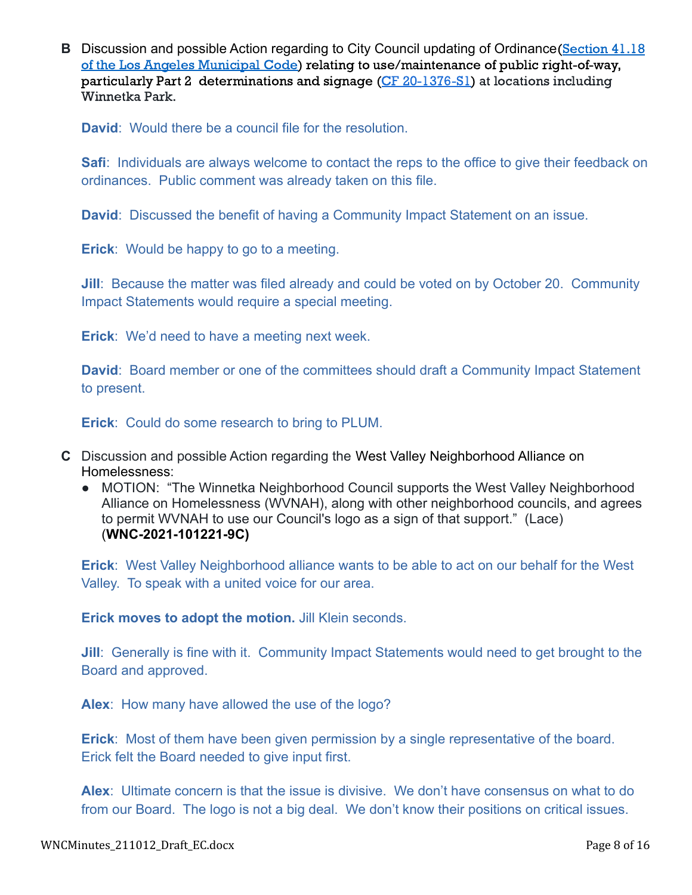**B** Discussion and possible Action regarding to City Council updating of Ordinance [\(Section](https://clkrep.lacity.org/onlinedocs/2020/20-1376-S1_ord_187127_09-03-21.pdf) 41.18) of the Los Angeles [Municipal](https://clkrep.lacity.org/onlinedocs/2020/20-1376-S1_ord_187127_09-03-21.pdf) Code) relating to use/maintenance of public right-of-way, particularly Part 2 determinations and signage (CF [20-1376-S1\)](https://cityclerk.lacity.org/lacityclerkconnect/index.cfm?fa=ccfi.viewrecord&cfnumber=20-1376-S1) at locations including Winnetka Park.

**David**: Would there be a council file for the resolution.

**Safi**: Individuals are always welcome to contact the reps to the office to give their feedback on ordinances. Public comment was already taken on this file.

**David**: Discussed the benefit of having a Community Impact Statement on an issue.

**Erick**: Would be happy to go to a meeting.

**Jill**: Because the matter was filed already and could be voted on by October 20. Community Impact Statements would require a special meeting.

**Erick**: We'd need to have a meeting next week.

**David**: Board member or one of the committees should draft a Community Impact Statement to present.

**Erick**: Could do some research to bring to PLUM.

- **C** Discussion and possible Action regarding the West Valley Neighborhood Alliance on Homelessness:
	- MOTION: "The Winnetka Neighborhood Council supports the West Valley Neighborhood Alliance on Homelessness (WVNAH), along with other neighborhood councils, and agrees to permit WVNAH to use our Council's logo as a sign of that support." (Lace) (**WNC-2021-101221-9C)**

**Erick**: West Valley Neighborhood alliance wants to be able to act on our behalf for the West Valley. To speak with a united voice for our area.

**Erick moves to adopt the motion.** Jill Klein seconds.

**Jill:** Generally is fine with it. Community Impact Statements would need to get brought to the Board and approved.

**Alex**: How many have allowed the use of the logo?

**Erick**: Most of them have been given permission by a single representative of the board. Erick felt the Board needed to give input first.

**Alex**: Ultimate concern is that the issue is divisive. We don't have consensus on what to do from our Board. The logo is not a big deal. We don't know their positions on critical issues.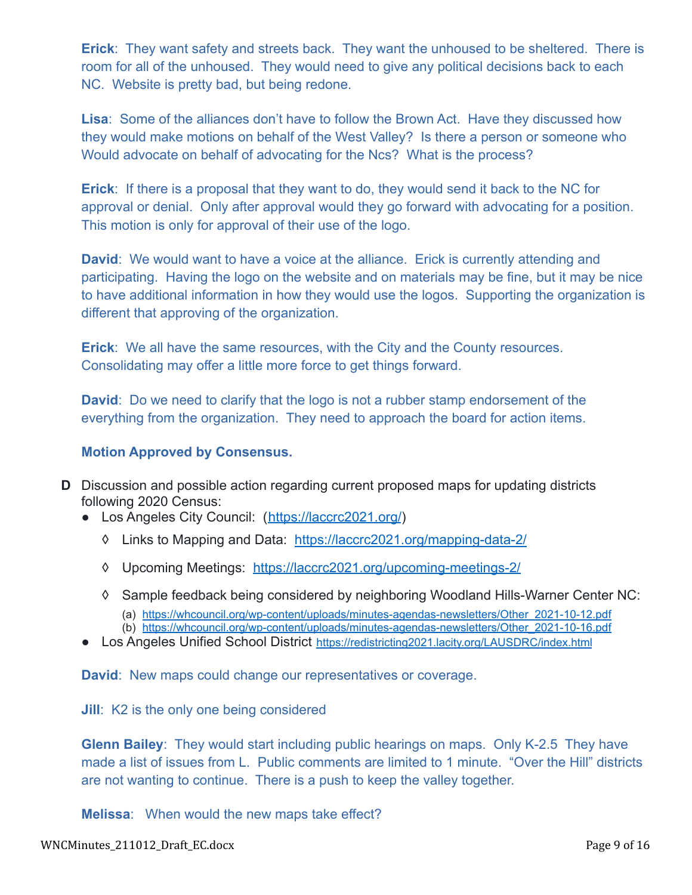**Erick**: They want safety and streets back. They want the unhoused to be sheltered. There is room for all of the unhoused. They would need to give any political decisions back to each NC. Website is pretty bad, but being redone.

**Lisa**: Some of the alliances don't have to follow the Brown Act. Have they discussed how they would make motions on behalf of the West Valley? Is there a person or someone who Would advocate on behalf of advocating for the Ncs? What is the process?

**Erick**: If there is a proposal that they want to do, they would send it back to the NC for approval or denial. Only after approval would they go forward with advocating for a position. This motion is only for approval of their use of the logo.

**David**: We would want to have a voice at the alliance. Erick is currently attending and participating. Having the logo on the website and on materials may be fine, but it may be nice to have additional information in how they would use the logos. Supporting the organization is different that approving of the organization.

**Erick**: We all have the same resources, with the City and the County resources. Consolidating may offer a little more force to get things forward.

**David**: Do we need to clarify that the logo is not a rubber stamp endorsement of the everything from the organization. They need to approach the board for action items.

### **Motion Approved by Consensus.**

- **D** Discussion and possible action regarding current proposed maps for updating districts following 2020 Census:
	- Los Angeles City Council: (<https://laccrc2021.org/>)
		- ◊ Links to Mapping and Data: <https://laccrc2021.org/mapping-data-2/>
		- ◊ Upcoming Meetings: <https://laccrc2021.org/upcoming-meetings-2/>
		- ◊ Sample feedback being considered by neighboring Woodland Hills-Warner Center NC:
			- (a) [https://whcouncil.org/wp-content/uploads/minutes-agendas-newsletters/Other\\_2021-10-12.pdf](https://whcouncil.org/wp-content/uploads/minutes-agendas-newsletters/Other_2021-10-12.pdf)
			- (b) [https://whcouncil.org/wp-content/uploads/minutes-agendas-newsletters/Other\\_2021-10-16.pdf](https://whcouncil.org/wp-content/uploads/minutes-agendas-newsletters/Other_2021-10-16.pdf)
	- Los Angeles Unified School District <https://redistricting2021.lacity.org/LAUSDRC/index.html>

**David**: New maps could change our representatives or coverage.

**Jill**: K2 is the only one being considered

**Glenn Bailey**: They would start including public hearings on maps. Only K-2.5 They have made a list of issues from L. Public comments are limited to 1 minute. "Over the Hill" districts are not wanting to continue. There is a push to keep the valley together.

**Melissa**: When would the new maps take effect?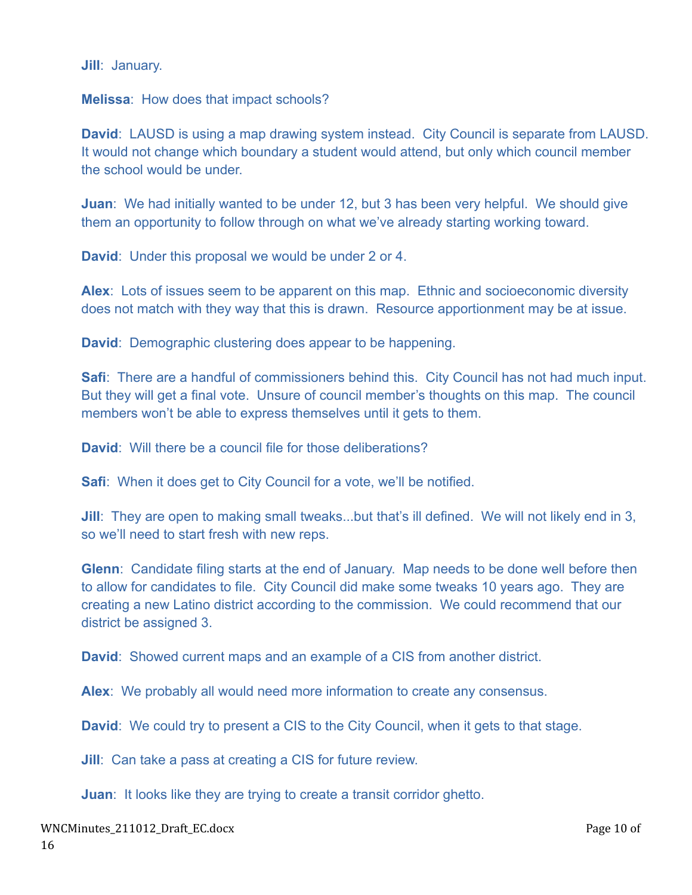**Jill**: January.

**Melissa**: How does that impact schools?

**David**: LAUSD is using a map drawing system instead. City Council is separate from LAUSD. It would not change which boundary a student would attend, but only which council member the school would be under.

**Juan:** We had initially wanted to be under 12, but 3 has been very helpful. We should give them an opportunity to follow through on what we've already starting working toward.

**David**: Under this proposal we would be under 2 or 4.

**Alex**: Lots of issues seem to be apparent on this map. Ethnic and socioeconomic diversity does not match with they way that this is drawn. Resource apportionment may be at issue.

**David**: Demographic clustering does appear to be happening.

**Safi**: There are a handful of commissioners behind this. City Council has not had much input. But they will get a final vote. Unsure of council member's thoughts on this map. The council members won't be able to express themselves until it gets to them.

**David**: Will there be a council file for those deliberations?

**Safi**: When it does get to City Council for a vote, we'll be notified.

**Jill**: They are open to making small tweaks...but that's ill defined. We will not likely end in 3, so we'll need to start fresh with new reps.

**Glenn**: Candidate filing starts at the end of January. Map needs to be done well before then to allow for candidates to file. City Council did make some tweaks 10 years ago. They are creating a new Latino district according to the commission. We could recommend that our district be assigned 3.

**David**: Showed current maps and an example of a CIS from another district.

**Alex**: We probably all would need more information to create any consensus.

**David:** We could try to present a CIS to the City Council, when it gets to that stage.

**Jill**: Can take a pass at creating a CIS for future review.

**Juan:** It looks like they are trying to create a transit corridor ghetto.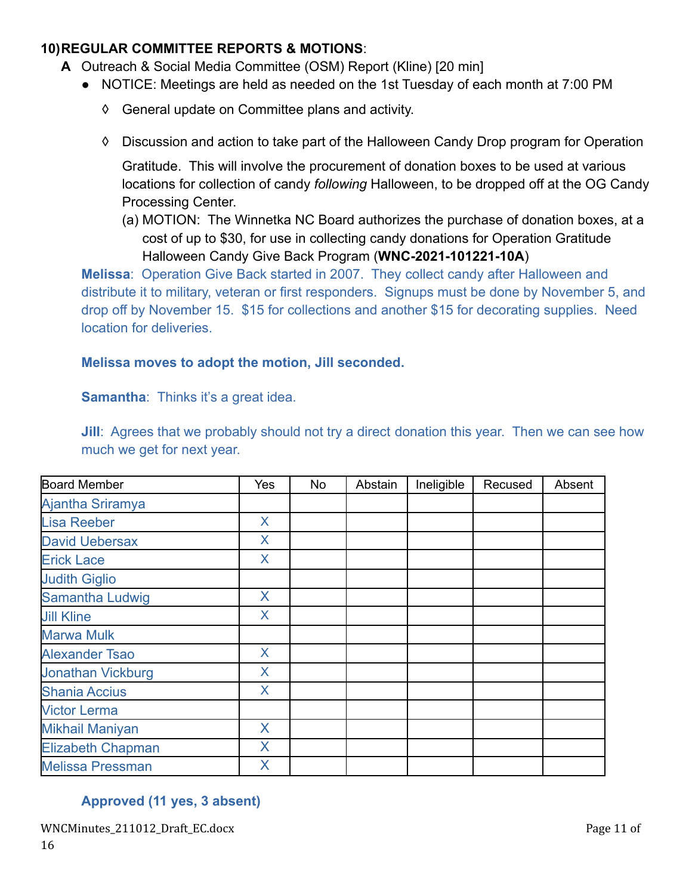# **10)REGULAR COMMITTEE REPORTS & MOTIONS**:

- **A** Outreach & Social Media Committee (OSM) Report (Kline) [20 min]
	- NOTICE: Meetings are held as needed on the 1st Tuesday of each month at 7:00 PM
		- ◊ General update on Committee plans and activity.
		- ◊ Discussion and action to take part of the Halloween Candy Drop program for Operation

Gratitude. This will involve the procurement of donation boxes to be used at various locations for collection of candy *following* Halloween, to be dropped off at the OG Candy Processing Center.

(a) MOTION: The Winnetka NC Board authorizes the purchase of donation boxes, at a cost of up to \$30, for use in collecting candy donations for Operation Gratitude Halloween Candy Give Back Program (**WNC-2021-101221-10A**)

**Melissa**: Operation Give Back started in 2007. They collect candy after Halloween and distribute it to military, veteran or first responders. Signups must be done by November 5, and drop off by November 15. \$15 for collections and another \$15 for decorating supplies. Need location for deliveries.

### **Melissa moves to adopt the motion, Jill seconded.**

**Samantha:** Thinks it's a great idea.

**Jill**: Agrees that we probably should not try a direct donation this year. Then we can see how much we get for next year.

| Board Member             | Yes            | No | Abstain | Ineligible | Recused | Absent |
|--------------------------|----------------|----|---------|------------|---------|--------|
| Ajantha Sriramya         |                |    |         |            |         |        |
| <b>Lisa Reeber</b>       | X              |    |         |            |         |        |
| <b>David Uebersax</b>    | $\overline{X}$ |    |         |            |         |        |
| <b>Erick Lace</b>        | X              |    |         |            |         |        |
| <b>Judith Giglio</b>     |                |    |         |            |         |        |
| Samantha Ludwig          | X              |    |         |            |         |        |
| <b>Jill Kline</b>        | X              |    |         |            |         |        |
| <b>Marwa Mulk</b>        |                |    |         |            |         |        |
| <b>Alexander Tsao</b>    | X              |    |         |            |         |        |
| <b>Jonathan Vickburg</b> | X              |    |         |            |         |        |
| <b>Shania Accius</b>     | X              |    |         |            |         |        |
| <b>Victor Lerma</b>      |                |    |         |            |         |        |
| <b>Mikhail Maniyan</b>   | X              |    |         |            |         |        |
| <b>Elizabeth Chapman</b> | X              |    |         |            |         |        |
| <b>Melissa Pressman</b>  | X              |    |         |            |         |        |

# **Approved (11 yes, 3 absent)**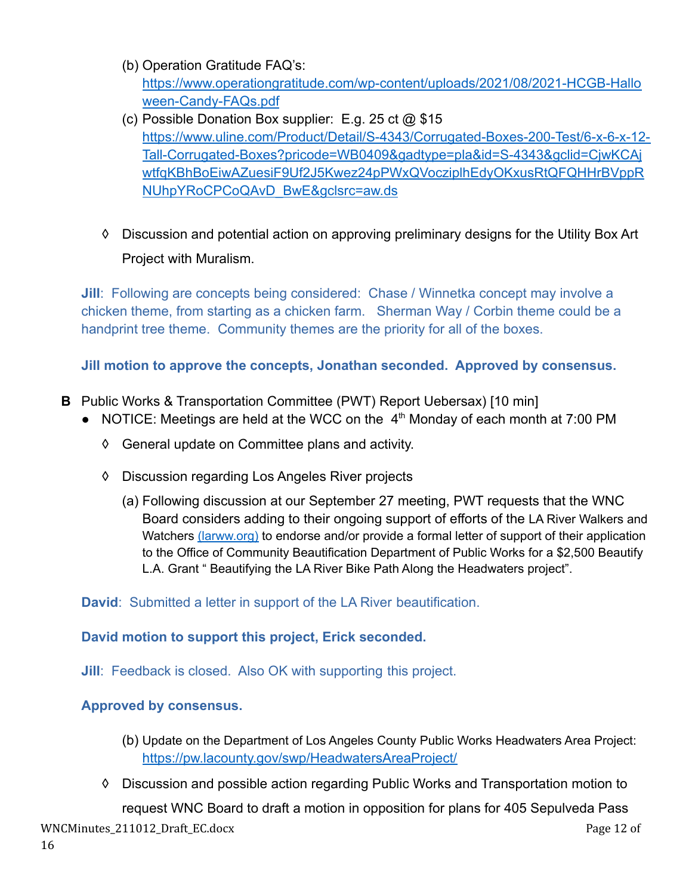- (b) Operation Gratitude FAQ's: [https://www.operationgratitude.com/wp-content/uploads/2021/08/2021-HCGB-Hallo](https://www.operationgratitude.com/wp-content/uploads/2021/08/2021-HCGB-Halloween-Candy-FAQs.pdf) [ween-Candy-FAQs.pdf](https://www.operationgratitude.com/wp-content/uploads/2021/08/2021-HCGB-Halloween-Candy-FAQs.pdf)
- (c) Possible Donation Box supplier: E.g. 25 ct @ \$15 [https://www.uline.com/Product/Detail/S-4343/Corrugated-Boxes-200-Test/6-x-6-x-12-](https://www.uline.com/Product/Detail/S-4343/Corrugated-Boxes-200-Test/6-x-6-x-12-Tall-Corrugated-Boxes?pricode=WB0409&gadtype=pla&id=S-4343&gclid=CjwKCAjwtfqKBhBoEiwAZuesiF9Uf2J5Kwez24pPWxQVocziplhEdyOKxusRtQFQHHrBVppRNUhpYRoCPCoQAvD_BwE&gclsrc=aw.ds) [Tall-Corrugated-Boxes?pricode=WB0409&gadtype=pla&id=S-4343&gclid=CjwKCAj](https://www.uline.com/Product/Detail/S-4343/Corrugated-Boxes-200-Test/6-x-6-x-12-Tall-Corrugated-Boxes?pricode=WB0409&gadtype=pla&id=S-4343&gclid=CjwKCAjwtfqKBhBoEiwAZuesiF9Uf2J5Kwez24pPWxQVocziplhEdyOKxusRtQFQHHrBVppRNUhpYRoCPCoQAvD_BwE&gclsrc=aw.ds) [wtfqKBhBoEiwAZuesiF9Uf2J5Kwez24pPWxQVocziplhEdyOKxusRtQFQHHrBVppR](https://www.uline.com/Product/Detail/S-4343/Corrugated-Boxes-200-Test/6-x-6-x-12-Tall-Corrugated-Boxes?pricode=WB0409&gadtype=pla&id=S-4343&gclid=CjwKCAjwtfqKBhBoEiwAZuesiF9Uf2J5Kwez24pPWxQVocziplhEdyOKxusRtQFQHHrBVppRNUhpYRoCPCoQAvD_BwE&gclsrc=aw.ds) [NUhpYRoCPCoQAvD\\_BwE&gclsrc=aw.ds](https://www.uline.com/Product/Detail/S-4343/Corrugated-Boxes-200-Test/6-x-6-x-12-Tall-Corrugated-Boxes?pricode=WB0409&gadtype=pla&id=S-4343&gclid=CjwKCAjwtfqKBhBoEiwAZuesiF9Uf2J5Kwez24pPWxQVocziplhEdyOKxusRtQFQHHrBVppRNUhpYRoCPCoQAvD_BwE&gclsrc=aw.ds)
- ◊ Discussion and potential action on approving preliminary designs for the Utility Box Art Project with Muralism.

**Jill**: Following are concepts being considered: Chase / Winnetka concept may involve a chicken theme, from starting as a chicken farm. Sherman Way / Corbin theme could be a handprint tree theme. Community themes are the priority for all of the boxes.

**Jill motion to approve the concepts, Jonathan seconded. Approved by consensus.**

- **B** Public Works & Transportation Committee (PWT) Report Uebersax) [10 min]
	- NOTICE: Meetings are held at the WCC on the 4<sup>th</sup> Monday of each month at 7:00 PM
		- ◊ General update on Committee plans and activity.
		- ◊ Discussion regarding Los Angeles River projects
			- (a) Following discussion at our September 27 meeting, PWT requests that the WNC Board considers adding to their ongoing support of efforts of the LA River Walkers and Watchers [\(larww.org\)](http://larww.org/) to endorse and/or provide a formal letter of support of their application to the Office of Community Beautification Department of Public Works for a \$2,500 Beautify L.A. Grant " Beautifying the LA River Bike Path Along the Headwaters project".

**David**: Submitted a letter in support of the LA River beautification.

# **David motion to support this project, Erick seconded.**

**Jill: Feedback is closed. Also OK with supporting this project.** 

# **Approved by consensus.**

- (b) Update on the Department of Los Angeles County Public Works Headwaters Area Project: <https://pw.lacounty.gov/swp/HeadwatersAreaProject/>
- ◊ Discussion and possible action regarding Public Works and Transportation motion to request WNC Board to draft a motion in opposition for plans for 405 Sepulveda Pass

WNCMinutes\_211012\_Draft\_EC.docx extended to the extended of the extended page 12 of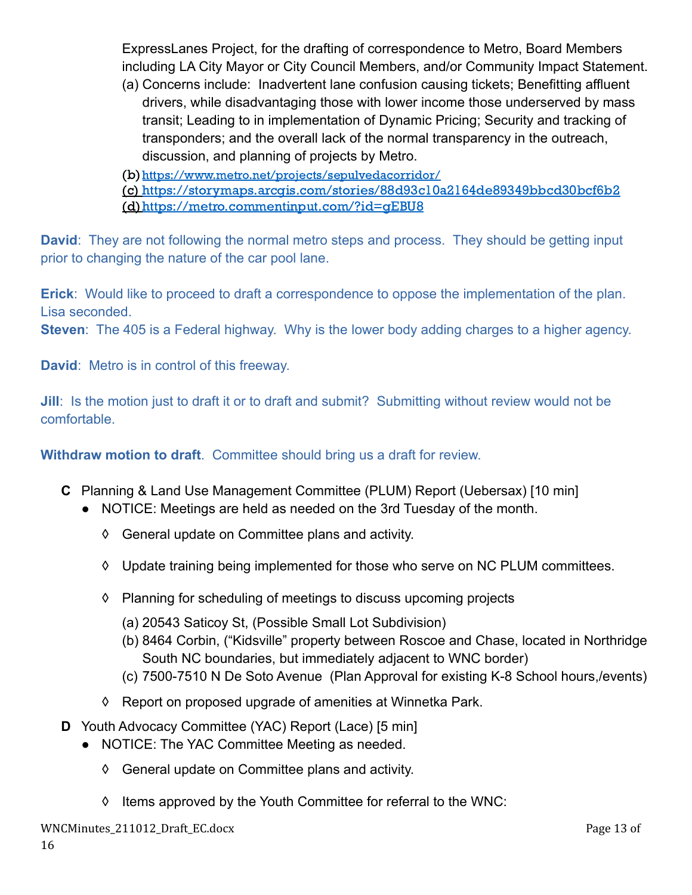ExpressLanes Project, for the drafting of correspondence to Metro, Board Members including LA City Mayor or City Council Members, and/or Community Impact Statement.

(a) Concerns include: Inadvertent lane confusion causing tickets; Benefitting affluent drivers, while disadvantaging those with lower income those underserved by mass transit; Leading to in implementation of Dynamic Pricing; Security and tracking of transponders; and the overall lack of the normal transparency in the outreach, discussion, and planning of projects by Metro.

(b)<https://www.metro.net/projects/sepulvedacorridor/>

(c) <https://storymaps.arcgis.com/stories/88d93c10a2164de89349bbcd30bcf6b2> (d)<https://metro.commentinput.com/?id=gEBU8>

**David**: They are not following the normal metro steps and process. They should be getting input prior to changing the nature of the car pool lane.

**Erick**: Would like to proceed to draft a correspondence to oppose the implementation of the plan. Lisa seconded.

**Steven**: The 405 is a Federal highway. Why is the lower body adding charges to a higher agency.

**David**: Metro is in control of this freeway.

**Jill**: Is the motion just to draft it or to draft and submit? Submitting without review would not be comfortable.

**Withdraw motion to draft**. Committee should bring us a draft for review.

- **C** Planning & Land Use Management Committee (PLUM) Report (Uebersax) [10 min]
	- NOTICE: Meetings are held as needed on the 3rd Tuesday of the month.
		- ◊ General update on Committee plans and activity.
		- ◊ Update training being implemented for those who serve on NC PLUM committees.
		- ◊ Planning for scheduling of meetings to discuss upcoming projects
			- (a) 20543 Saticoy St, (Possible Small Lot Subdivision)
			- (b) 8464 Corbin, ("Kidsville" property between Roscoe and Chase, located in Northridge South NC boundaries, but immediately adjacent to WNC border)
			- (c) 7500-7510 N De Soto Avenue (Plan Approval for existing K-8 School hours,/events)
		- ◊ Report on proposed upgrade of amenities at Winnetka Park.
- **D** Youth Advocacy Committee (YAC) Report (Lace) [5 min]
	- NOTICE: The YAC Committee Meeting as needed.
		- ◊ General update on Committee plans and activity.
		- ◊ Items approved by the Youth Committee for referral to the WNC: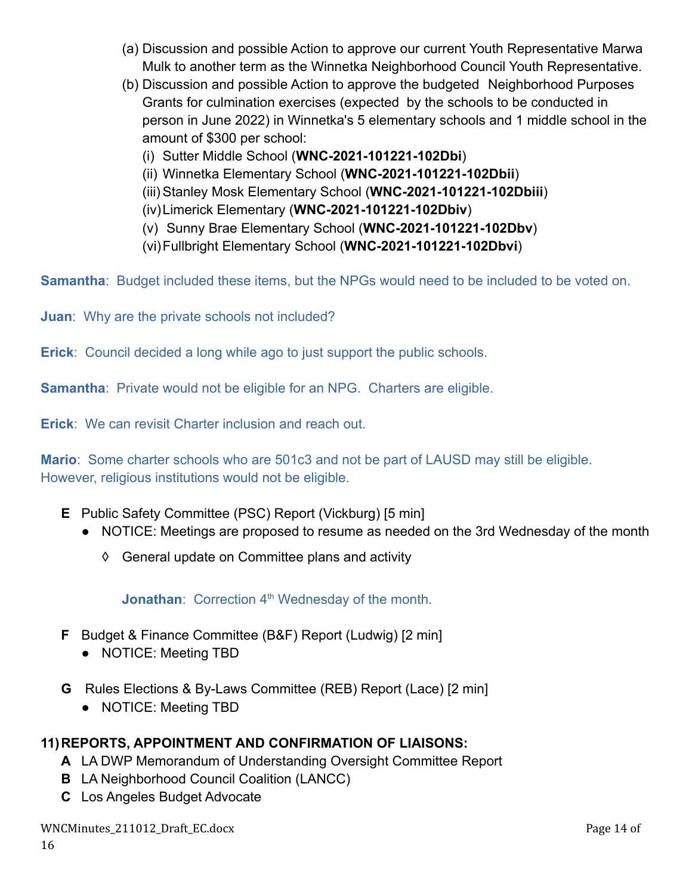- (a) Discussion and possible Action to approve our current Youth Representative Marwa Mulk to another term as the Winnetka Neighborhood Council Youth Representative.
- (b) Discussion and possible Action to approve the budgeted Neighborhood Purposes Grants for culmination exercises (expected by the schools to be conducted in person in June 2022) in Winnetka's 5 elementary schools and 1 middle school in the amount of \$300 per school:
	- (i) Sutter Middle School (**WNC-2021-101221-102Dbi**)
	- (ii) Winnetka Elementary School (**WNC-2021-101221-102Dbii**)
	- (iii) Stanley Mosk Elementary School (**WNC-2021-101221-102Dbiii**)
	- (iv)Limerick Elementary (**WNC-2021-101221-102Dbiv**)
	- (v) Sunny Brae Elementary School (**WNC-2021-101221-102Dbv**)
	- (vi)Fullbright Elementary School (**WNC-2021-101221-102Dbvi**)

**Samantha:** Budget included these items, but the NPGs would need to be included to be voted on.

**Juan**: Why are the private schools not included?

**Erick**: Council decided a long while ago to just support the public schools.

**Samantha**: Private would not be eligible for an NPG. Charters are eligible.

**Erick**: We can revisit Charter inclusion and reach out.

**Mario**: Some charter schools who are 501c3 and not be part of LAUSD may still be eligible. However, religious institutions would not be eligible.

- **E** Public Safety Committee (PSC) Report (Vickburg) [5 min]
	- NOTICE: Meetings are proposed to resume as needed on the 3rd Wednesday of the month
		- ◊ General update on Committee plans and activity

**Jonathan:** Correction 4<sup>th</sup> Wednesday of the month.

- **F** Budget & Finance Committee (B&F) Report (Ludwig) [2 min]
	- NOTICE: Meeting TBD
- **G** Rules Elections & By-Laws Committee (REB) Report (Lace) [2 min]
	- **●** NOTICE: Meeting TBD

# **11)REPORTS, APPOINTMENT AND CONFIRMATION OF LIAISONS:**

- **A** LA DWP Memorandum of Understanding Oversight Committee Report
- **B** LA Neighborhood Council Coalition (LANCC)
- **C** Los Angeles Budget Advocate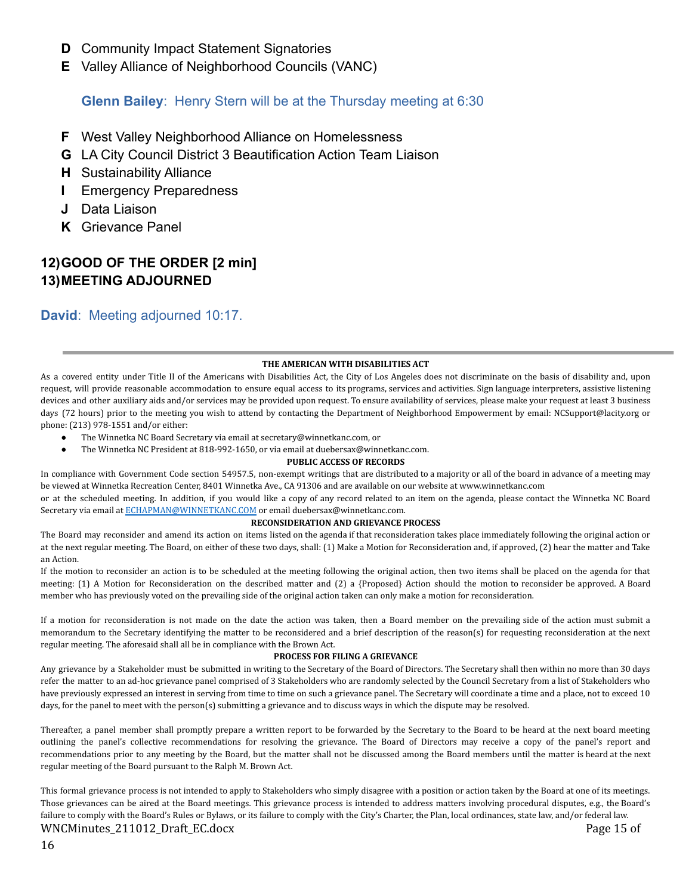- **D** Community Impact Statement Signatories
- **E** Valley Alliance of Neighborhood Councils (VANC)

### **Glenn Bailey**: Henry Stern will be at the Thursday meeting at 6:30

- **F** West Valley Neighborhood Alliance on Homelessness
- **G** LA City Council District 3 Beautification Action Team Liaison
- **H** Sustainability Alliance
- **I** Emergency Preparedness
- **J** Data Liaison
- **K** Grievance Panel

# **12)GOOD OF THE ORDER [2 min] 13)MEETING ADJOURNED**

### **David**: Meeting adjourned 10:17.

#### **THE AMERICAN WITH DISABILITIES ACT**

As a covered entity under Title II of the Americans with Disabilities Act, the City of Los Angeles does not discriminate on the basis of disability and, upon request, will provide reasonable accommodation to ensure equal access to its programs, services and activities. Sign language interpreters, assistive listening devices and other auxiliary aids and/or services may be provided upon request. To ensure availability of services, please make your request at least 3 business days (72 hours) prior to the meeting you wish to attend by contacting the Department of Neighborhood Empowerment by email: NCSupport@lacity.org or phone: (213) 978-1551 and/or either:

- The Winnetka NC Board Secretary via email at secretary@winnetkanc.com, or
	- The Winnetka NC President at 818-992-1650, or via email at duebersax@winnetkanc.com.

#### **PUBLIC ACCESS OF RECORDS**

In compliance with Government Code section 54957.5, non-exempt writings that are distributed to a majority or all of the board in advance of a meeting may be viewed at Winnetka Recreation Center, 8401 Winnetka Ave., CA 91306 and are available on our website at www.winnetkanc.com

or at the scheduled meeting. In addition, if you would like a copy of any record related to an item on the agenda, please contact the Winnetka NC Board Secretary via email at [ECHAPMAN@WINNETKANC.COM](mailto:ECHAPMAN@WINNETKANC.COM) or email duebersax@winnetkanc.com.

#### **RECONSIDERATION AND GRIEVANCE PROCESS**

The Board may reconsider and amend its action on items listed on the agenda if that reconsideration takes place immediately following the original action or at the next regular meeting. The Board, on either of these two days, shall: (1) Make a Motion for Reconsideration and, if approved, (2) hear the matter and Take an Action.

If the motion to reconsider an action is to be scheduled at the meeting following the original action, then two items shall be placed on the agenda for that meeting: (1) A Motion for Reconsideration on the described matter and (2) a {Proposed} Action should the motion to reconsider be approved. A Board member who has previously voted on the prevailing side of the original action taken can only make a motion for reconsideration.

If a motion for reconsideration is not made on the date the action was taken, then a Board member on the prevailing side of the action must submit a memorandum to the Secretary identifying the matter to be reconsidered and a brief description of the reason(s) for requesting reconsideration at the next regular meeting. The aforesaid shall all be in compliance with the Brown Act.

#### **PROCESS FOR FILING A GRIEVANCE**

Any grievance by a Stakeholder must be submitted in writing to the Secretary of the Board of Directors. The Secretary shall then within no more than 30 days refer the matter to an ad-hoc grievance panel comprised of 3 Stakeholders who are randomly selected by the Council Secretary from a list of Stakeholders who have previously expressed an interest in serving from time to time on such a grievance panel. The Secretary will coordinate a time and a place, not to exceed 10 days, for the panel to meet with the person(s) submitting a grievance and to discuss ways in which the dispute may be resolved.

Thereafter, a panel member shall promptly prepare a written report to be forwarded by the Secretary to the Board to be heard at the next board meeting outlining the panel's collective recommendations for resolving the grievance. The Board of Directors may receive a copy of the panel's report and recommendations prior to any meeting by the Board, but the matter shall not be discussed among the Board members until the matter is heard at the next regular meeting of the Board pursuant to the Ralph M. Brown Act.

This formal grievance process is not intended to apply to Stakeholders who simply disagree with a position or action taken by the Board at one of its meetings. Those grievances can be aired at the Board meetings. This grievance process is intended to address matters involving procedural disputes, e.g., the Board's failure to comply with the Board's Rules or Bylaws, or its failure to comply with the City's Charter, the Plan, local ordinances, state law, and/or federal law. WNCMinutes\_211012\_Draft\_EC.docx example and the example of the example of the example of the example of the example of the example of the example of the example of the example of the example of the example of the example o